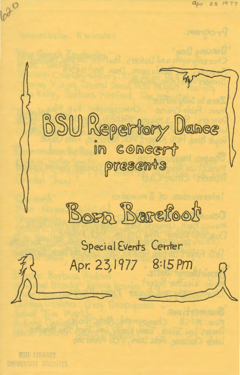BSU Repertory Dance  $I$ in c $\omega$ ncert presents



Special Events Center Apr. 23) 1977 8:15Pm

BSU LIBRARY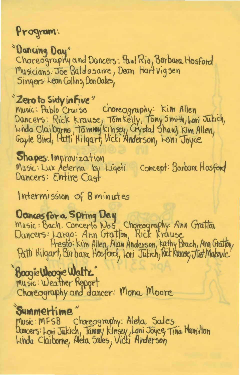Program:

*<i><u><b>SDoncing Day*</u> Choreography and Dancers: Paul Rio, Barbara Hosford Musicians: Joe Baldasarre, Dean Hartvigsen Singers: Leon Collins, Don Oakes,

# <sup>\*</sup>Zero to Sixty in Five"

music: Pablo Cruise Choreography: Kim Allen Dancers: Rick krause, Tomkelly, Tony Smith, Lori Jukich,<br>Winda Claiborns, Tammy kinsey, Crystal Shaw, Kim Allen,<br>Gayle Bird, Putti Hilgart, Vicki Anderson, Loni Joyce

Shapes: Improvization Music: Lux Aeterna by Ligeti Concept: Barbara Hosford Dancers: Entire Cast

Intermission of 8 minutes

Dances for a Spring Day<br>Music: Bach. Concerto Nos, Choreography: Ann Gratton<br>Dancers: Largo: Ann Gratton, Rick Krause Presto: kim Allen, Alan Anderson, kathy Brach, Ann Gratton, Patti Hilgart, Barbara Hosford, Lori Julich, Rick Knause, Just Malovic'

# Boogie Woogie Waltz'

Music: Weather Report Choreography and dancer: Mona Moore

#### Summertime

Music: MFSB Choreography: Aleta Sales<br>Dancers: Lovi Jukich, Tammy kinsey, Loni Joyce, Tina Mamilton<br>Linda Claiborne, Aleta Sales, Victi Anderson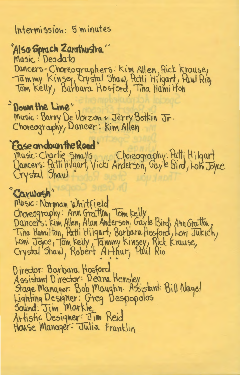#### Intermission: 5 minutes

# 'Also Sprach Zarathustra''

Music: Deodato

Dancers-Choreographers: Kim Allen, Rick krause,<br>Tammy Kinsey, Crystal Shaw, Patli Hilgart, Paul Rig<br>Tom Kelly, Barbara Hosford, Tina Hamilton

#### - Down the Line"

Music: Barry De Vorzon + Jerry Botkin Jr.<br>Choreography, Dancer: Kim Allen

### Ease andown the Road"

music: Charlie Smalls Choreography: Patti Hilgart<br>Dancers: Patti Hilgart, Vicki Anderson, Gayle Bird, Lon Joyce

## "Carwash"

Music: Norman Whitfield Choreography: Ann Gratton, Tom kelly<br>Dancers: Kim Allen, Alan Anderson, Gayle Bird, Ann Gratton,<br>Tina Hamilton, Patti Hilgart, Borbara Hosford, Lori Jukich,<br>Loni Joyce, Tom kelly, Tammy Kinsey, Rick Krause,<br>Crystal Shaw, R

Director: Barbara Hosford<br>Assistant Director: Deana Hensley<br>Stage Manager: Bob Maughn. Assistant: Bill Nagel<br>Lighting Designer: Greg Despopolos<br>Sound: Jim Markte<br>Artistic Designer: Jim Reid<br>Haise Manager: Jim Reid House Manager: Julia Franklin